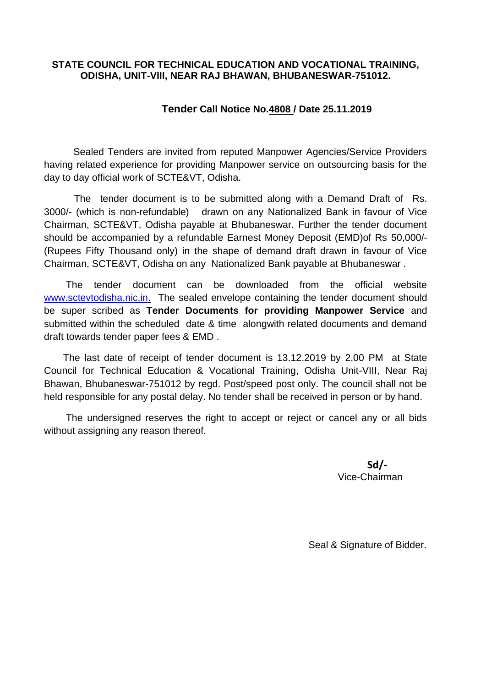#### **STATE COUNCIL FOR TECHNICAL EDUCATION AND VOCATIONAL TRAINING, ODISHA, UNIT-VIII, NEAR RAJ BHAWAN, BHUBANESWAR-751012.**

#### **Tender Call Notice No.4808 / Date 25.11.2019**

Sealed Tenders are invited from reputed Manpower Agencies/Service Providers having related experience for providing Manpower service on outsourcing basis for the day to day official work of SCTE&VT, Odisha.

 The tender document is to be submitted along with a Demand Draft of Rs. 3000/- (which is non-refundable) drawn on any Nationalized Bank in favour of Vice Chairman, SCTE&VT, Odisha payable at Bhubaneswar. Further the tender document should be accompanied by a refundable Earnest Money Deposit (EMD)of Rs 50,000/- (Rupees Fifty Thousand only) in the shape of demand draft drawn in favour of Vice Chairman, SCTE&VT, Odisha on any Nationalized Bank payable at Bhubaneswar .

 The tender document can be downloaded from the official website [www.sctevtodisha.nic.in.](http://www.sctevtodisha.nic.in/) The sealed envelope containing the tender document should be super scribed as **Tender Documents for providing Manpower Service** and submitted within the scheduled date & time alongwith related documents and demand draft towards tender paper fees & EMD .

 The last date of receipt of tender document is 13.12.2019 by 2.00 PM at State Council for Technical Education & Vocational Training, Odisha Unit-VIII, Near Raj Bhawan, Bhubaneswar-751012 by regd. Post/speed post only. The council shall not be held responsible for any postal delay. No tender shall be received in person or by hand.

 The undersigned reserves the right to accept or reject or cancel any or all bids without assigning any reason thereof.

> **Sd/-** Vice-Chairman

Seal & Signature of Bidder.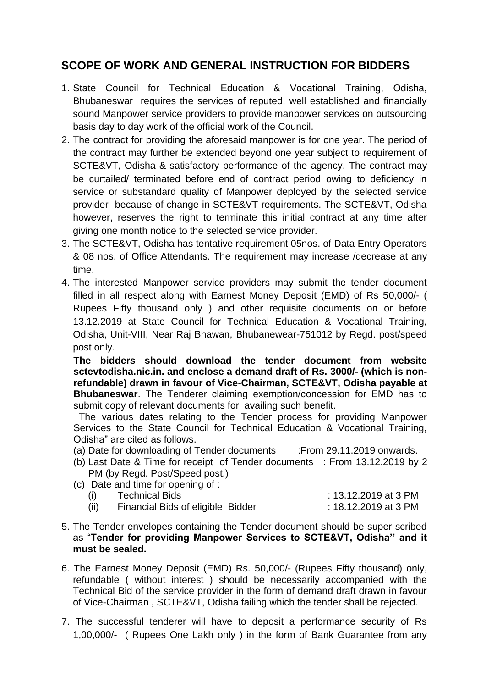# **SCOPE OF WORK AND GENERAL INSTRUCTION FOR BIDDERS**

- 1. State Council for Technical Education & Vocational Training, Odisha, Bhubaneswar requires the services of reputed, well established and financially sound Manpower service providers to provide manpower services on outsourcing basis day to day work of the official work of the Council.
- 2. The contract for providing the aforesaid manpower is for one year. The period of the contract may further be extended beyond one year subject to requirement of SCTE&VT, Odisha & satisfactory performance of the agency. The contract may be curtailed/ terminated before end of contract period owing to deficiency in service or substandard quality of Manpower deployed by the selected service provider because of change in SCTE&VT requirements. The SCTE&VT, Odisha however, reserves the right to terminate this initial contract at any time after giving one month notice to the selected service provider.
- 3. The SCTE&VT, Odisha has tentative requirement 05nos. of Data Entry Operators & 08 nos. of Office Attendants. The requirement may increase /decrease at any time.
- 4. The interested Manpower service providers may submit the tender document filled in all respect along with Earnest Money Deposit (EMD) of Rs 50,000/- ( Rupees Fifty thousand only ) and other requisite documents on or before 13.12.2019 at State Council for Technical Education & Vocational Training, Odisha, Unit-VIII, Near Raj Bhawan, Bhubanewear-751012 by Regd. post/speed post only.

**The bidders should download the tender document from website sctevtodisha.nic.in. and enclose a demand draft of Rs. 3000/- (which is nonrefundable) drawn in favour of Vice-Chairman, SCTE&VT, Odisha payable at Bhubaneswar**. The Tenderer claiming exemption/concession for EMD has to submit copy of relevant documents for availing such benefit.

 The various dates relating to the Tender process for providing Manpower Services to the State Council for Technical Education & Vocational Training, Odisha" are cited as follows.

- (a) Date for downloading of Tender documents :From 29.11.2019 onwards.
- (b) Last Date & Time for receipt of Tender documents : From 13.12.2019 by 2 PM (by Regd. Post/Speed post.)

(c) Date and time for opening of :

| (i)  | <b>Technical Bids</b>             | : 13.12.2019 at 3 PM |
|------|-----------------------------------|----------------------|
| (ii) | Financial Bids of eligible Bidder | : 18.12.2019 at 3 PM |

- 5. The Tender envelopes containing the Tender document should be super scribed as "**Tender for providing Manpower Services to SCTE&VT, Odisha'' and it must be sealed.**
- 6. The Earnest Money Deposit (EMD) Rs. 50,000/- (Rupees Fifty thousand) only, refundable ( without interest ) should be necessarily accompanied with the Technical Bid of the service provider in the form of demand draft drawn in favour of Vice-Chairman , SCTE&VT, Odisha failing which the tender shall be rejected.
- 7. The successful tenderer will have to deposit a performance security of Rs 1,00,000/- ( Rupees One Lakh only ) in the form of Bank Guarantee from any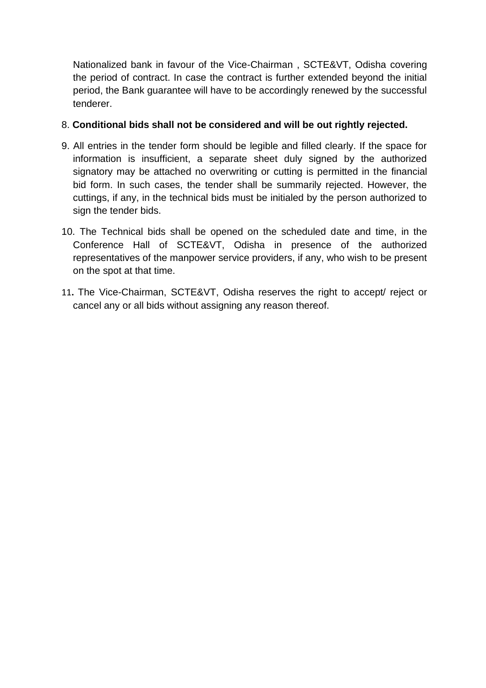Nationalized bank in favour of the Vice-Chairman , SCTE&VT, Odisha covering the period of contract. In case the contract is further extended beyond the initial period, the Bank guarantee will have to be accordingly renewed by the successful tenderer.

#### 8. **Conditional bids shall not be considered and will be out rightly rejected.**

- 9. All entries in the tender form should be legible and filled clearly. If the space for information is insufficient, a separate sheet duly signed by the authorized signatory may be attached no overwriting or cutting is permitted in the financial bid form. In such cases, the tender shall be summarily rejected. However, the cuttings, if any, in the technical bids must be initialed by the person authorized to sign the tender bids.
- 10. The Technical bids shall be opened on the scheduled date and time, in the Conference Hall of SCTE&VT, Odisha in presence of the authorized representatives of the manpower service providers, if any, who wish to be present on the spot at that time.
- 11**.** The Vice-Chairman, SCTE&VT, Odisha reserves the right to accept/ reject or cancel any or all bids without assigning any reason thereof.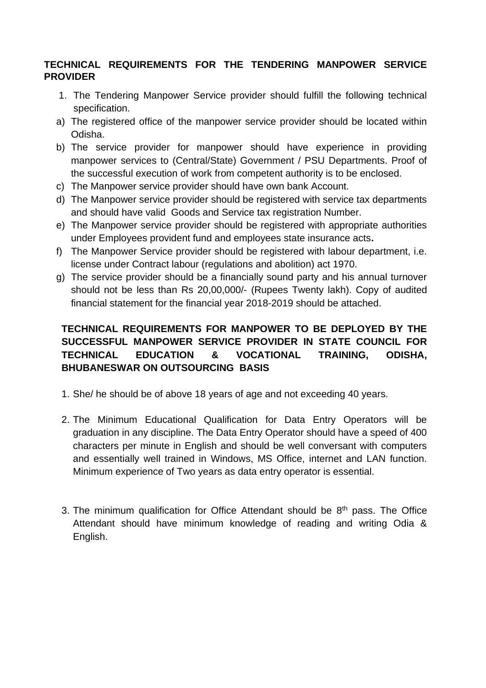#### **TECHNICAL REQUIREMENTS FOR THE TENDERING MANPOWER SERVICE PROVIDER**

- 1. The Tendering Manpower Service provider should fulfill the following technical specification.
- a) The registered office of the manpower service provider should be located within Odisha.
- b) The service provider for manpower should have experience in providing manpower services to (Central/State) Government / PSU Departments. Proof of the successful execution of work from competent authority is to be enclosed.
- c) The Manpower service provider should have own bank Account.
- d) The Manpower service provider should be registered with service tax departments and should have valid Goods and Service tax registration Number.
- e) The Manpower service provider should be registered with appropriate authorities under Employees provident fund and employees state insurance acts**.**
- f) The Manpower Service provider should be registered with labour department, i.e. license under Contract labour (regulations and abolition) act 1970.
- g) The service provider should be a financially sound party and his annual turnover should not be less than Rs 20,00,000/- (Rupees Twenty lakh). Copy of audited financial statement for the financial year 2018-2019 should be attached.

#### **TECHNICAL REQUIREMENTS FOR MANPOWER TO BE DEPLOYED BY THE SUCCESSFUL MANPOWER SERVICE PROVIDER IN STATE COUNCIL FOR TECHNICAL EDUCATION & VOCATIONAL TRAINING, ODISHA, BHUBANESWAR ON OUTSOURCING BASIS**

- 1. She/ he should be of above 18 years of age and not exceeding 40 years.
- 2. The Minimum Educational Qualification for Data Entry Operators will be graduation in any discipline. The Data Entry Operator should have a speed of 400 characters per minute in English and should be well conversant with computers and essentially well trained in Windows, MS Office, internet and LAN function. Minimum experience of Two years as data entry operator is essential.
- 3. The minimum qualification for Office Attendant should be  $8<sup>th</sup>$  pass. The Office Attendant should have minimum knowledge of reading and writing Odia & English.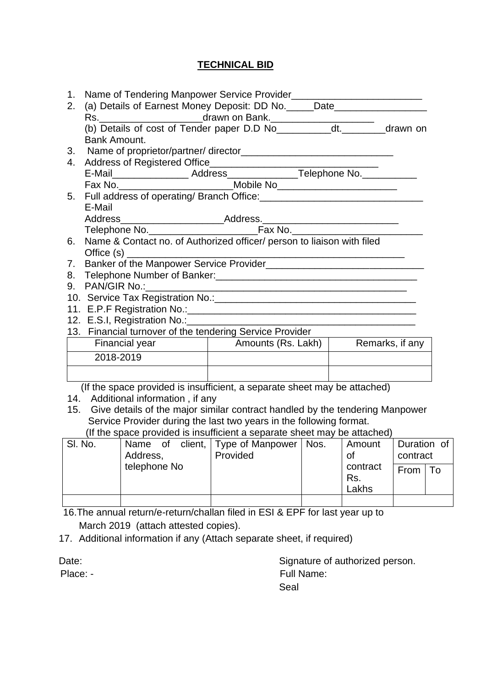### **TECHNICAL BID**

| 1. |                                                                                                                                                                       |                                    |  |  |  |
|----|-----------------------------------------------------------------------------------------------------------------------------------------------------------------------|------------------------------------|--|--|--|
| 2. | (a) Details of Earnest Money Deposit: DD No. _____Date__________________________                                                                                      |                                    |  |  |  |
|    |                                                                                                                                                                       |                                    |  |  |  |
|    | Rs. ________________________drawn on Bank. _________________________________drawn on<br>(b) Details of cost of Tender paper D.D No_____________dt. __________drawn on |                                    |  |  |  |
|    | Bank Amount.                                                                                                                                                          |                                    |  |  |  |
|    |                                                                                                                                                                       |                                    |  |  |  |
| 4. |                                                                                                                                                                       |                                    |  |  |  |
|    |                                                                                                                                                                       |                                    |  |  |  |
|    | Fax No. _______________________________Mobile No________________________________                                                                                      |                                    |  |  |  |
| 5. |                                                                                                                                                                       |                                    |  |  |  |
|    | E-Mail                                                                                                                                                                |                                    |  |  |  |
|    |                                                                                                                                                                       |                                    |  |  |  |
|    |                                                                                                                                                                       |                                    |  |  |  |
| 6. | Name & Contact no. of Authorized officer/ person to liaison with filed                                                                                                |                                    |  |  |  |
|    |                                                                                                                                                                       |                                    |  |  |  |
| 7. | Banker of the Manpower Service Provider                                                                                                                               |                                    |  |  |  |
| 8. |                                                                                                                                                                       |                                    |  |  |  |
| 9. |                                                                                                                                                                       |                                    |  |  |  |
|    |                                                                                                                                                                       |                                    |  |  |  |
|    |                                                                                                                                                                       |                                    |  |  |  |
|    |                                                                                                                                                                       |                                    |  |  |  |
|    | 13. Financial turnover of the tendering Service Provider                                                                                                              |                                    |  |  |  |
|    | Financial year                                                                                                                                                        | Amounts (Rs. Lakh) Remarks, if any |  |  |  |
|    | 2018-2019                                                                                                                                                             |                                    |  |  |  |
|    |                                                                                                                                                                       |                                    |  |  |  |
|    | (If the space provided is insufficient, a separate sheet may be attached)                                                                                             |                                    |  |  |  |
|    | 14. Additional information, if any                                                                                                                                    |                                    |  |  |  |
|    | 15. Give details of the major similar contract handled by the tendering Manpower                                                                                      |                                    |  |  |  |

Service Provider during the last two years in the following format.

|  | (If the space provided is insufficient a separate sheet may be attached) |  |  |
|--|--------------------------------------------------------------------------|--|--|
|  |                                                                          |  |  |

| SI. No. | Name of<br>Address, |  | client, Type of Manpower   Nos.<br>Provided | Amount<br>0t | Duration of<br>contract  |                 |  |
|---------|---------------------|--|---------------------------------------------|--------------|--------------------------|-----------------|--|
|         | telephone No        |  |                                             |              | contract<br>Rs.<br>Lakhs | From $\vert$ To |  |
|         |                     |  |                                             |              |                          |                 |  |

 16.The annual return/e-return/challan filed in ESI & EPF for last year up to March 2019 (attach attested copies).

17. Additional information if any (Attach separate sheet, if required)

| Date:    | Signature of authorized person. |
|----------|---------------------------------|
| Place: - | Full Name:                      |
|          | Seal                            |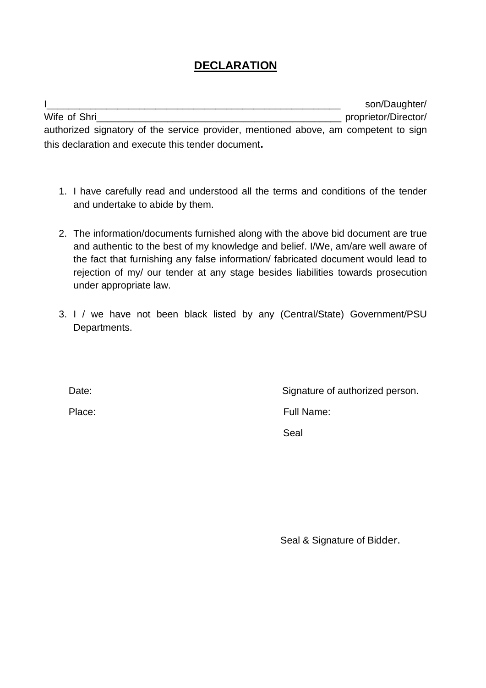# **DECLARATION**

I<sub>1</sub> Wife of Shri\_\_\_\_\_\_\_\_\_\_\_\_\_\_\_\_\_\_\_\_\_\_\_\_\_\_\_\_\_\_\_\_\_\_\_\_\_\_\_\_\_\_\_\_\_ proprietor/Director/ authorized signatory of the service provider, mentioned above, am competent to sign this declaration and execute this tender document**.** 

- 1. I have carefully read and understood all the terms and conditions of the tender and undertake to abide by them.
- 2. The information/documents furnished along with the above bid document are true and authentic to the best of my knowledge and belief. I/We, am/are well aware of the fact that furnishing any false information/ fabricated document would lead to rejection of my/ our tender at any stage besides liabilities towards prosecution under appropriate law.
- 3. I / we have not been black listed by any (Central/State) Government/PSU Departments.

Date: Date: Signature of authorized person.

Place: Full Name:

Seal

Seal & Signature of Bidder.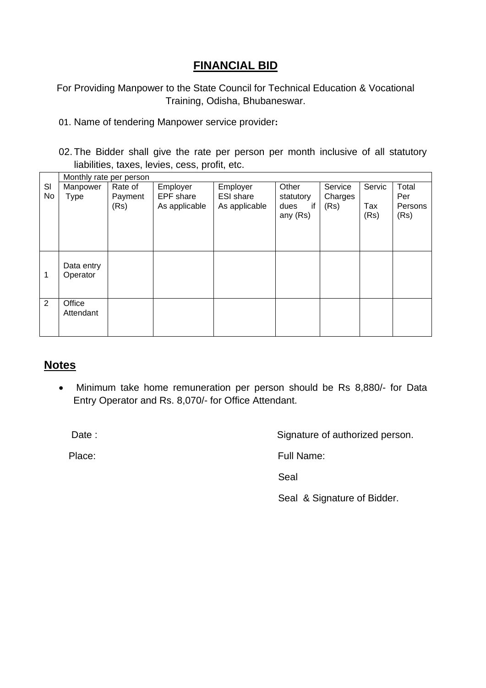# **FINANCIAL BID**

For Providing Manpower to the State Council for Technical Education & Vocational Training, Odisha, Bhubaneswar.

- 01. Name of tendering Manpower service provider**:**
- 02. The Bidder shall give the rate per person per month inclusive of all statutory liabilities, taxes, levies, cess, profit, etc.

|                | Monthly rate per person |         |               |                  |            |         |        |         |
|----------------|-------------------------|---------|---------------|------------------|------------|---------|--------|---------|
| SI             | Manpower                | Rate of | Employer      | Employer         | Other      | Service | Servic | Total   |
| No             | Type                    | Payment | EPF share     | <b>ESI</b> share | statutory  | Charges |        | Per     |
|                |                         | (Rs)    | As applicable | As applicable    | if<br>dues | (Rs)    | Tax    | Persons |
|                |                         |         |               |                  | any (Rs)   |         | (Rs)   | (Rs)    |
|                |                         |         |               |                  |            |         |        |         |
|                |                         |         |               |                  |            |         |        |         |
|                |                         |         |               |                  |            |         |        |         |
|                | Data entry              |         |               |                  |            |         |        |         |
| 1              | Operator                |         |               |                  |            |         |        |         |
|                |                         |         |               |                  |            |         |        |         |
|                |                         |         |               |                  |            |         |        |         |
| $\overline{2}$ | Office                  |         |               |                  |            |         |        |         |
|                | Attendant               |         |               |                  |            |         |        |         |
|                |                         |         |               |                  |            |         |        |         |
|                |                         |         |               |                  |            |         |        |         |

### **Notes**

• Minimum take home remuneration per person should be Rs 8,880/- for Data Entry Operator and Rs. 8,070/- for Office Attendant.

Date :  $\qquad \qquad$   $\qquad \qquad$  Signature of authorized person.

Place: Full Name: Full Name:

<u>Seal and the contract of the contract of the Seal and the Seal and the Seal and the Seal and the Seal and the Sea</u>

Seal & Signature of Bidder.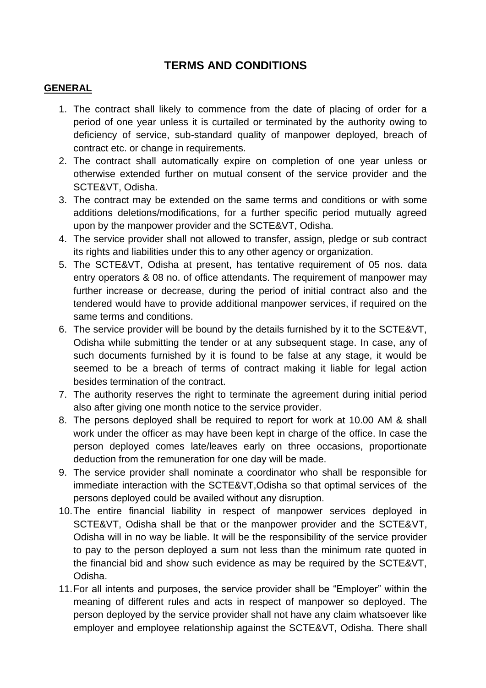# **TERMS AND CONDITIONS**

#### **GENERAL**

- 1. The contract shall likely to commence from the date of placing of order for a period of one year unless it is curtailed or terminated by the authority owing to deficiency of service, sub-standard quality of manpower deployed, breach of contract etc. or change in requirements.
- 2. The contract shall automatically expire on completion of one year unless or otherwise extended further on mutual consent of the service provider and the SCTE&VT, Odisha.
- 3. The contract may be extended on the same terms and conditions or with some additions deletions/modifications, for a further specific period mutually agreed upon by the manpower provider and the SCTE&VT, Odisha.
- 4. The service provider shall not allowed to transfer, assign, pledge or sub contract its rights and liabilities under this to any other agency or organization.
- 5. The SCTE&VT, Odisha at present, has tentative requirement of 05 nos. data entry operators & 08 no. of office attendants. The requirement of manpower may further increase or decrease, during the period of initial contract also and the tendered would have to provide additional manpower services, if required on the same terms and conditions.
- 6. The service provider will be bound by the details furnished by it to the SCTE&VT, Odisha while submitting the tender or at any subsequent stage. In case, any of such documents furnished by it is found to be false at any stage, it would be seemed to be a breach of terms of contract making it liable for legal action besides termination of the contract.
- 7. The authority reserves the right to terminate the agreement during initial period also after giving one month notice to the service provider.
- 8. The persons deployed shall be required to report for work at 10.00 AM & shall work under the officer as may have been kept in charge of the office. In case the person deployed comes late/leaves early on three occasions, proportionate deduction from the remuneration for one day will be made.
- 9. The service provider shall nominate a coordinator who shall be responsible for immediate interaction with the SCTE&VT,Odisha so that optimal services of the persons deployed could be availed without any disruption.
- 10.The entire financial liability in respect of manpower services deployed in SCTE&VT, Odisha shall be that or the manpower provider and the SCTE&VT, Odisha will in no way be liable. It will be the responsibility of the service provider to pay to the person deployed a sum not less than the minimum rate quoted in the financial bid and show such evidence as may be required by the SCTE&VT, Odisha.
- 11.For all intents and purposes, the service provider shall be "Employer" within the meaning of different rules and acts in respect of manpower so deployed. The person deployed by the service provider shall not have any claim whatsoever like employer and employee relationship against the SCTE&VT, Odisha. There shall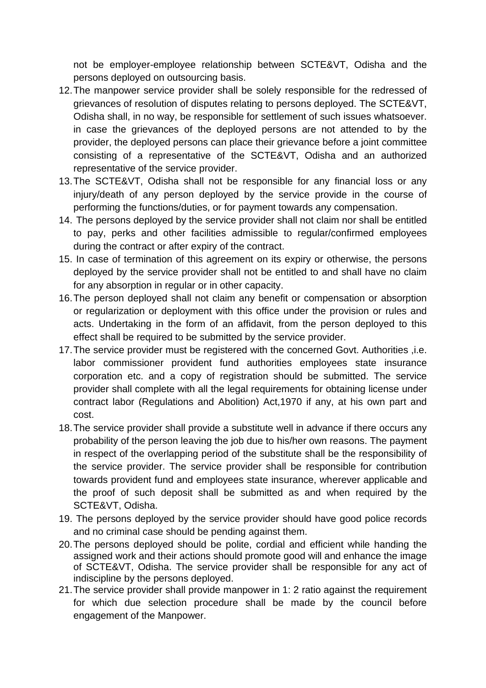not be employer-employee relationship between SCTE&VT, Odisha and the persons deployed on outsourcing basis.

- 12.The manpower service provider shall be solely responsible for the redressed of grievances of resolution of disputes relating to persons deployed. The SCTE&VT, Odisha shall, in no way, be responsible for settlement of such issues whatsoever. in case the grievances of the deployed persons are not attended to by the provider, the deployed persons can place their grievance before a joint committee consisting of a representative of the SCTE&VT, Odisha and an authorized representative of the service provider.
- 13.The SCTE&VT, Odisha shall not be responsible for any financial loss or any injury/death of any person deployed by the service provide in the course of performing the functions/duties, or for payment towards any compensation.
- 14. The persons deployed by the service provider shall not claim nor shall be entitled to pay, perks and other facilities admissible to regular/confirmed employees during the contract or after expiry of the contract.
- 15. In case of termination of this agreement on its expiry or otherwise, the persons deployed by the service provider shall not be entitled to and shall have no claim for any absorption in regular or in other capacity.
- 16.The person deployed shall not claim any benefit or compensation or absorption or regularization or deployment with this office under the provision or rules and acts. Undertaking in the form of an affidavit, from the person deployed to this effect shall be required to be submitted by the service provider.
- 17.The service provider must be registered with the concerned Govt. Authorities ,i.e. labor commissioner provident fund authorities employees state insurance corporation etc. and a copy of registration should be submitted. The service provider shall complete with all the legal requirements for obtaining license under contract labor (Regulations and Abolition) Act,1970 if any, at his own part and cost.
- 18.The service provider shall provide a substitute well in advance if there occurs any probability of the person leaving the job due to his/her own reasons. The payment in respect of the overlapping period of the substitute shall be the responsibility of the service provider. The service provider shall be responsible for contribution towards provident fund and employees state insurance, wherever applicable and the proof of such deposit shall be submitted as and when required by the SCTE&VT, Odisha.
- 19. The persons deployed by the service provider should have good police records and no criminal case should be pending against them.
- 20.The persons deployed should be polite, cordial and efficient while handing the assigned work and their actions should promote good will and enhance the image of SCTE&VT, Odisha. The service provider shall be responsible for any act of indiscipline by the persons deployed.
- 21.The service provider shall provide manpower in 1: 2 ratio against the requirement for which due selection procedure shall be made by the council before engagement of the Manpower.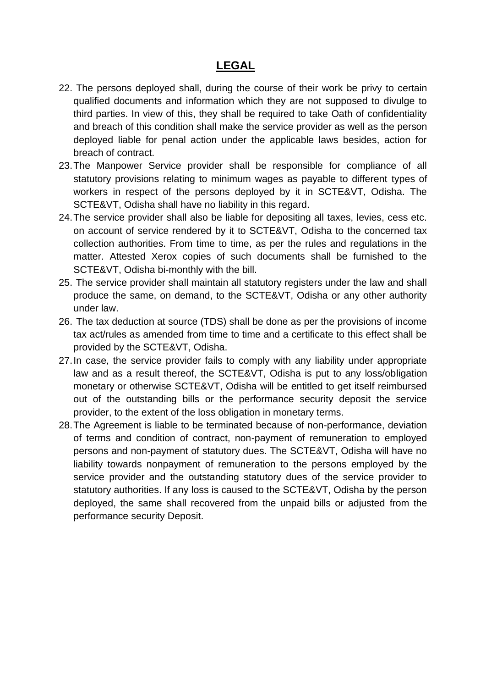### **LEGAL**

- 22. The persons deployed shall, during the course of their work be privy to certain qualified documents and information which they are not supposed to divulge to third parties. In view of this, they shall be required to take Oath of confidentiality and breach of this condition shall make the service provider as well as the person deployed liable for penal action under the applicable laws besides, action for breach of contract.
- 23.The Manpower Service provider shall be responsible for compliance of all statutory provisions relating to minimum wages as payable to different types of workers in respect of the persons deployed by it in SCTE&VT, Odisha. The SCTE&VT, Odisha shall have no liability in this regard.
- 24.The service provider shall also be liable for depositing all taxes, levies, cess etc. on account of service rendered by it to SCTE&VT, Odisha to the concerned tax collection authorities. From time to time, as per the rules and regulations in the matter. Attested Xerox copies of such documents shall be furnished to the SCTE&VT, Odisha bi-monthly with the bill.
- 25. The service provider shall maintain all statutory registers under the law and shall produce the same, on demand, to the SCTE&VT, Odisha or any other authority under law.
- 26. The tax deduction at source (TDS) shall be done as per the provisions of income tax act/rules as amended from time to time and a certificate to this effect shall be provided by the SCTE&VT, Odisha.
- 27.In case, the service provider fails to comply with any liability under appropriate law and as a result thereof, the SCTE&VT, Odisha is put to any loss/obligation monetary or otherwise SCTE&VT, Odisha will be entitled to get itself reimbursed out of the outstanding bills or the performance security deposit the service provider, to the extent of the loss obligation in monetary terms.
- 28.The Agreement is liable to be terminated because of non-performance, deviation of terms and condition of contract, non-payment of remuneration to employed persons and non-payment of statutory dues. The SCTE&VT, Odisha will have no liability towards nonpayment of remuneration to the persons employed by the service provider and the outstanding statutory dues of the service provider to statutory authorities. If any loss is caused to the SCTE&VT, Odisha by the person deployed, the same shall recovered from the unpaid bills or adjusted from the performance security Deposit.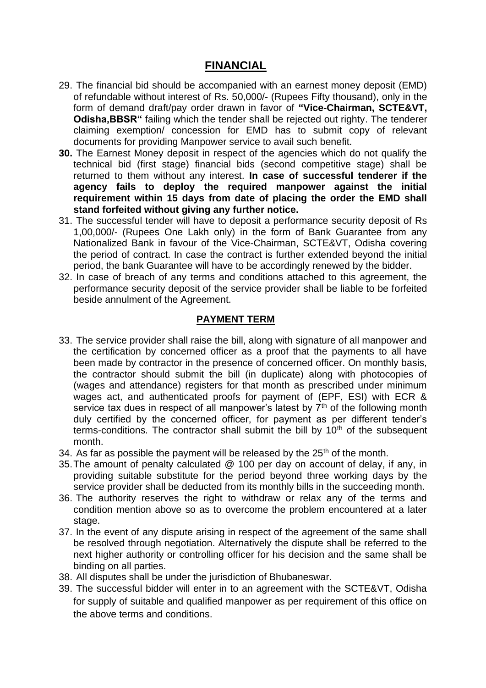### **FINANCIAL**

- 29. The financial bid should be accompanied with an earnest money deposit (EMD) of refundable without interest of Rs. 50,000/- (Rupees Fifty thousand), only in the form of demand draft/pay order drawn in favor of **"Vice-Chairman, SCTE&VT, Odisha,BBSR"** failing which the tender shall be rejected out righty. The tenderer claiming exemption/ concession for EMD has to submit copy of relevant documents for providing Manpower service to avail such benefit.
- **30.** The Earnest Money deposit in respect of the agencies which do not qualify the technical bid (first stage) financial bids (second competitive stage) shall be returned to them without any interest. **In case of successful tenderer if the agency fails to deploy the required manpower against the initial requirement within 15 days from date of placing the order the EMD shall stand forfeited without giving any further notice.**
- 31. The successful tender will have to deposit a performance security deposit of Rs 1,00,000/- (Rupees One Lakh only) in the form of Bank Guarantee from any Nationalized Bank in favour of the Vice-Chairman, SCTE&VT, Odisha covering the period of contract. In case the contract is further extended beyond the initial period, the bank Guarantee will have to be accordingly renewed by the bidder.
- 32. In case of breach of any terms and conditions attached to this agreement, the performance security deposit of the service provider shall be liable to be forfeited beside annulment of the Agreement.

#### **PAYMENT TERM**

- 33. The service provider shall raise the bill, along with signature of all manpower and the certification by concerned officer as a proof that the payments to all have been made by contractor in the presence of concerned officer. On monthly basis, the contractor should submit the bill (in duplicate) along with photocopies of (wages and attendance) registers for that month as prescribed under minimum wages act, and authenticated proofs for payment of (EPF, ESI) with ECR & service tax dues in respect of all manpower's latest by  $7<sup>th</sup>$  of the following month duly certified by the concerned officer, for payment as per different tender's terms-conditions. The contractor shall submit the bill by  $10<sup>th</sup>$  of the subsequent month.
- 34. As far as possible the payment will be released by the  $25<sup>th</sup>$  of the month.
- 35.The amount of penalty calculated @ 100 per day on account of delay, if any, in providing suitable substitute for the period beyond three working days by the service provider shall be deducted from its monthly bills in the succeeding month.
- 36. The authority reserves the right to withdraw or relax any of the terms and condition mention above so as to overcome the problem encountered at a later stage.
- 37. In the event of any dispute arising in respect of the agreement of the same shall be resolved through negotiation. Alternatively the dispute shall be referred to the next higher authority or controlling officer for his decision and the same shall be binding on all parties.
- 38. All disputes shall be under the jurisdiction of Bhubaneswar.
- 39. The successful bidder will enter in to an agreement with the SCTE&VT, Odisha for supply of suitable and qualified manpower as per requirement of this office on the above terms and conditions.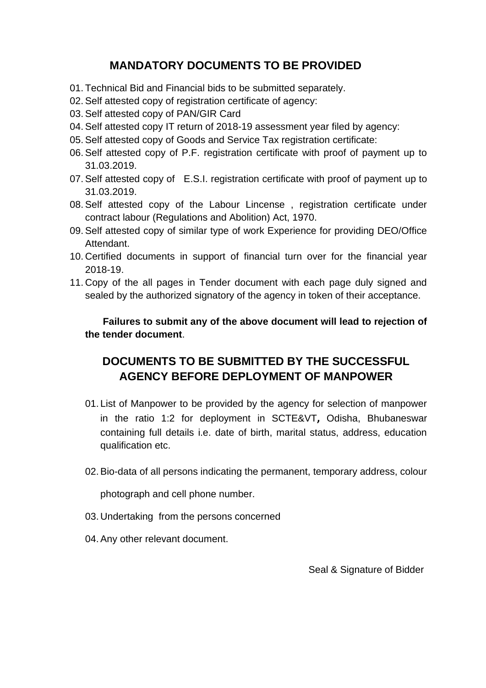# **MANDATORY DOCUMENTS TO BE PROVIDED**

- 01. Technical Bid and Financial bids to be submitted separately.
- 02.Self attested copy of registration certificate of agency:
- 03.Self attested copy of PAN/GIR Card
- 04.Self attested copy IT return of 2018-19 assessment year filed by agency:
- 05.Self attested copy of Goods and Service Tax registration certificate:
- 06.Self attested copy of P.F. registration certificate with proof of payment up to 31.03.2019.
- 07.Self attested copy of E.S.I. registration certificate with proof of payment up to 31.03.2019.
- 08.Self attested copy of the Labour Lincense , registration certificate under contract labour (Regulations and Abolition) Act, 1970.
- 09.Self attested copy of similar type of work Experience for providing DEO/Office Attendant.
- 10. Certified documents in support of financial turn over for the financial year 2018-19.
- 11. Copy of the all pages in Tender document with each page duly signed and sealed by the authorized signatory of the agency in token of their acceptance.

**Failures to submit any of the above document will lead to rejection of the tender document**.

# **DOCUMENTS TO BE SUBMITTED BY THE SUCCESSFUL AGENCY BEFORE DEPLOYMENT OF MANPOWER**

- 01. List of Manpower to be provided by the agency for selection of manpower in the ratio 1:2 for deployment in SCTE&VT**,** Odisha, Bhubaneswar containing full details i.e. date of birth, marital status, address, education qualification etc.
- 02.Bio-data of all persons indicating the permanent, temporary address, colour

photograph and cell phone number.

- 03. Undertaking from the persons concerned
- 04.Any other relevant document.

Seal & Signature of Bidder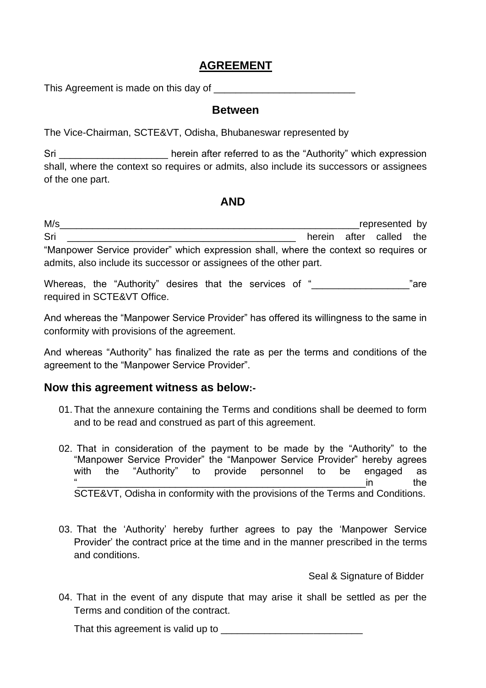### **AGREEMENT**

This Agreement is made on this day of

#### **Between**

The Vice-Chairman, SCTE&VT, Odisha, Bhubaneswar represented by

Sri Shing and the referred to as the "Authority" which expression shall, where the context so requires or admits, also include its successors or assignees of the one part.

### **AND**

M/s represented by Sri **Solution Contract Contract Contract Contract Contract Contract Contract Contract Contract Contract Contract Contract Contract Contract Contract Contract Contract Contract Contract Contract Contract Contract Contract C** "Manpower Service provider" which expression shall, where the context so requires or admits, also include its successor or assignees of the other part.

Whereas, the "Authority" desires that the services of "<br>
The "are required in SCTE&VT Office.

And whereas the "Manpower Service Provider" has offered its willingness to the same in conformity with provisions of the agreement.

And whereas "Authority" has finalized the rate as per the terms and conditions of the agreement to the "Manpower Service Provider".

### **Now this agreement witness as below:-**

- 01. That the annexure containing the Terms and conditions shall be deemed to form and to be read and construed as part of this agreement.
- 02. That in consideration of the payment to be made by the "Authority" to the "Manpower Service Provider" the "Manpower Service Provider" hereby agrees with the "Authority" to provide personnel to be engaged as  $\mathbf{u}$  in the SCTE&VT, Odisha in conformity with the provisions of the Terms and Conditions.
- 03. That the 'Authority' hereby further agrees to pay the 'Manpower Service Provider' the contract price at the time and in the manner prescribed in the terms and conditions.

Seal & Signature of Bidder

04. That in the event of any dispute that may arise it shall be settled as per the Terms and condition of the contract.

That this agreement is valid up to \_\_\_\_\_\_\_\_\_\_\_\_\_\_\_\_\_\_\_\_\_\_\_\_\_\_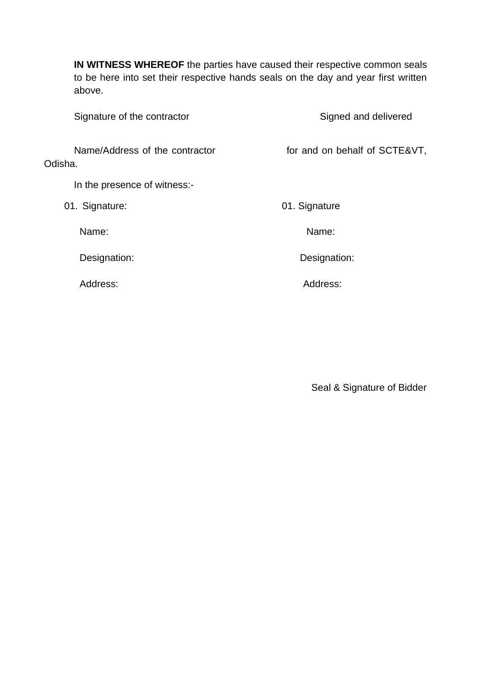**IN WITNESS WHEREOF** the parties have caused their respective common seals to be here into set their respective hands seals on the day and year first written above.

| Signature of the contractor               | Signed and delivered          |  |  |
|-------------------------------------------|-------------------------------|--|--|
| Name/Address of the contractor<br>Odisha. | for and on behalf of SCTE&VT, |  |  |
| In the presence of witness:-              |                               |  |  |
| 01. Signature:                            | 01. Signature                 |  |  |
| Name:                                     | Name:                         |  |  |
| Designation:                              | Designation:                  |  |  |
| Address:                                  | Address:                      |  |  |
|                                           |                               |  |  |

Seal & Signature of Bidder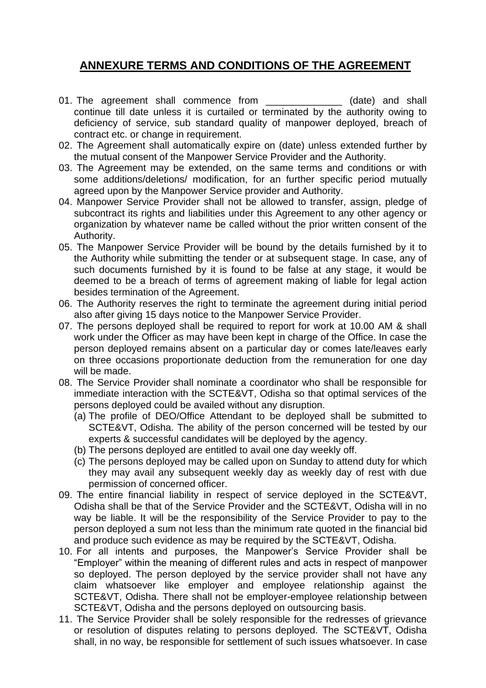### **ANNEXURE TERMS AND CONDITIONS OF THE AGREEMENT**

- 01. The agreement shall commence from \_\_\_\_\_\_\_\_\_\_\_\_\_\_\_\_ (date) and shall continue till date unless it is curtailed or terminated by the authority owing to deficiency of service, sub standard quality of manpower deployed, breach of contract etc. or change in requirement.
- 02. The Agreement shall automatically expire on (date) unless extended further by the mutual consent of the Manpower Service Provider and the Authority.
- 03. The Agreement may be extended, on the same terms and conditions or with some additions/deletions/ modification, for an further specific period mutually agreed upon by the Manpower Service provider and Authority.
- 04. Manpower Service Provider shall not be allowed to transfer, assign, pledge of subcontract its rights and liabilities under this Agreement to any other agency or organization by whatever name be called without the prior written consent of the Authority.
- 05. The Manpower Service Provider will be bound by the details furnished by it to the Authority while submitting the tender or at subsequent stage. In case, any of such documents furnished by it is found to be false at any stage, it would be deemed to be a breach of terms of agreement making of liable for legal action besides termination of the Agreement.
- 06. The Authority reserves the right to terminate the agreement during initial period also after giving 15 days notice to the Manpower Service Provider.
- 07. The persons deployed shall be required to report for work at 10.00 AM & shall work under the Officer as may have been kept in charge of the Office. In case the person deployed remains absent on a particular day or comes late/leaves early on three occasions proportionate deduction from the remuneration for one day will be made.
- 08. The Service Provider shall nominate a coordinator who shall be responsible for immediate interaction with the SCTE&VT, Odisha so that optimal services of the persons deployed could be availed without any disruption.
	- (a) The profile of DEO/Office Attendant to be deployed shall be submitted to SCTE&VT, Odisha. The ability of the person concerned will be tested by our experts & successful candidates will be deployed by the agency.
	- (b) The persons deployed are entitled to avail one day weekly off.
	- (c) The persons deployed may be called upon on Sunday to attend duty for which they may avail any subsequent weekly day as weekly day of rest with due permission of concerned officer.
- 09. The entire financial liability in respect of service deployed in the SCTE&VT, Odisha shall be that of the Service Provider and the SCTE&VT, Odisha will in no way be liable. It will be the responsibility of the Service Provider to pay to the person deployed a sum not less than the minimum rate quoted in the financial bid and produce such evidence as may be required by the SCTE&VT, Odisha.
- 10. For all intents and purposes, the Manpower's Service Provider shall be "Employer" within the meaning of different rules and acts in respect of manpower so deployed. The person deployed by the service provider shall not have any claim whatsoever like employer and employee relationship against the SCTE&VT, Odisha. There shall not be employer-employee relationship between SCTE&VT, Odisha and the persons deployed on outsourcing basis.
- 11. The Service Provider shall be solely responsible for the redresses of grievance or resolution of disputes relating to persons deployed. The SCTE&VT, Odisha shall, in no way, be responsible for settlement of such issues whatsoever. In case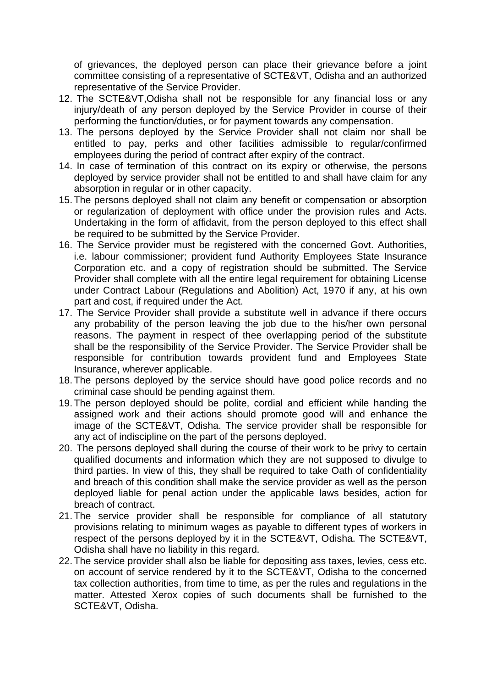of grievances, the deployed person can place their grievance before a joint committee consisting of a representative of SCTE&VT, Odisha and an authorized representative of the Service Provider.

- 12. The SCTE&VT,Odisha shall not be responsible for any financial loss or any injury/death of any person deployed by the Service Provider in course of their performing the function/duties, or for payment towards any compensation.
- 13. The persons deployed by the Service Provider shall not claim nor shall be entitled to pay, perks and other facilities admissible to regular/confirmed employees during the period of contract after expiry of the contract.
- 14. In case of termination of this contract on its expiry or otherwise, the persons deployed by service provider shall not be entitled to and shall have claim for any absorption in regular or in other capacity.
- 15. The persons deployed shall not claim any benefit or compensation or absorption or regularization of deployment with office under the provision rules and Acts. Undertaking in the form of affidavit, from the person deployed to this effect shall be required to be submitted by the Service Provider.
- 16. The Service provider must be registered with the concerned Govt. Authorities, i.e. labour commissioner; provident fund Authority Employees State Insurance Corporation etc. and a copy of registration should be submitted. The Service Provider shall complete with all the entire legal requirement for obtaining License under Contract Labour (Regulations and Abolition) Act, 1970 if any, at his own part and cost, if required under the Act.
- 17. The Service Provider shall provide a substitute well in advance if there occurs any probability of the person leaving the job due to the his/her own personal reasons. The payment in respect of thee overlapping period of the substitute shall be the responsibility of the Service Provider. The Service Provider shall be responsible for contribution towards provident fund and Employees State Insurance, wherever applicable.
- 18. The persons deployed by the service should have good police records and no criminal case should be pending against them.
- 19. The person deployed should be polite, cordial and efficient while handing the assigned work and their actions should promote good will and enhance the image of the SCTE&VT, Odisha. The service provider shall be responsible for any act of indiscipline on the part of the persons deployed.
- 20. The persons deployed shall during the course of their work to be privy to certain qualified documents and information which they are not supposed to divulge to third parties. In view of this, they shall be required to take Oath of confidentiality and breach of this condition shall make the service provider as well as the person deployed liable for penal action under the applicable laws besides, action for breach of contract.
- 21. The service provider shall be responsible for compliance of all statutory provisions relating to minimum wages as payable to different types of workers in respect of the persons deployed by it in the SCTE&VT, Odisha. The SCTE&VT, Odisha shall have no liability in this regard.
- 22. The service provider shall also be liable for depositing ass taxes, levies, cess etc. on account of service rendered by it to the SCTE&VT, Odisha to the concerned tax collection authorities, from time to time, as per the rules and regulations in the matter. Attested Xerox copies of such documents shall be furnished to the SCTE&VT, Odisha.